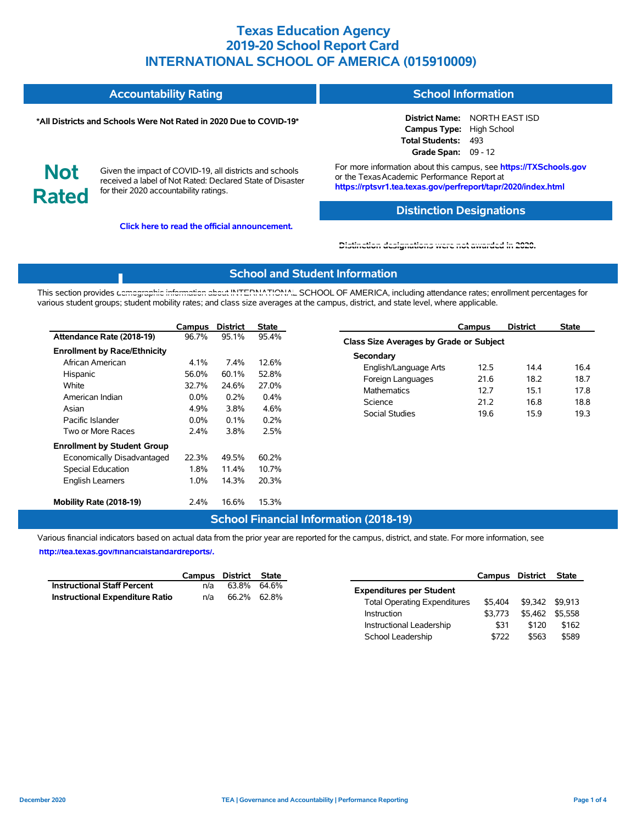| <b>Accountability Rating</b> | <b>School Information</b> |
|------------------------------|---------------------------|
|                              |                           |

#### **\*All Districts and Schools Were Not Rated in 2020 Due to COVID-19\***

**District Name:** NORTH EAST ISD **Campus Type:** High School **Total Students:** 493 **Grade Span:** 09 - 12



Given the impact of COVID-19, all districts and schools received a label of Not Rated: Declared State of Disaster for their 2020 accountability ratings.

**Click here to read the official announcement.**

For more information about this campus, see **https://TXSchools.gov** or the Texas Academic Performance Report at **https://rptsvr1.tea.texas.gov/perfreport/tapr/2020/index.html**

## **Distinction Designations**

Instructional Leadership  $$31$  \$120 \$162 School Leadership  $$722$  \$563 \$589

#### **[Distinction designations were not awarded in 2020.](https://rptsvr1.tea.texas.gov/perfreport/tapr/2020/index.html)**

## **School and Student Information**

This section provides [demographic information about INTERNATIONAL](https://tea.texas.gov/about-tea/news-and-multimedia/correspondence/taa-letters/every-student-succeeds-act-essa-waiver-approval-2020-state-academic-accountability) SCHOOL OF AMERICA, including attendance rates; enrollment percentages for various student groups; student mobility rates; and class size averages at the campus, district, and state level, where applicable.

|                                                                                                                                                   | Campus                                                       | <b>District</b>                                        | <b>State</b>                                               |                                                                                                                   | Campus                               | <b>District</b>                      | <b>State</b>                         |
|---------------------------------------------------------------------------------------------------------------------------------------------------|--------------------------------------------------------------|--------------------------------------------------------|------------------------------------------------------------|-------------------------------------------------------------------------------------------------------------------|--------------------------------------|--------------------------------------|--------------------------------------|
| Attendance Rate (2018-19)                                                                                                                         | 96.7%                                                        | 95.1%                                                  | 95.4%                                                      | Class Size Averages by Grade or Subject                                                                           |                                      |                                      |                                      |
| <b>Enrollment by Race/Ethnicity</b><br>African American<br>Hispanic<br>White<br>American Indian<br>Asian<br>Pacific Islander<br>Two or More Races | 4.1%<br>56.0%<br>32.7%<br>$0.0\%$<br>4.9%<br>$0.0\%$<br>2.4% | 7.4%<br>60.1%<br>24.6%<br>0.2%<br>3.8%<br>0.1%<br>3.8% | 12.6%<br>52.8%<br>27.0%<br>$0.4\%$<br>4.6%<br>0.2%<br>2.5% | Secondary<br>English/Language Arts<br>Foreign Languages<br><b>Mathematics</b><br>Science<br><b>Social Studies</b> | 12.5<br>21.6<br>12.7<br>21.2<br>19.6 | 14.4<br>18.2<br>15.1<br>16.8<br>15.9 | 16.4<br>18.7<br>17.8<br>18.8<br>19.3 |
| <b>Enrollment by Student Group</b><br>Economically Disadvantaged<br>Special Education<br><b>English Learners</b>                                  | 22.3%<br>1.8%<br>1.0%                                        | 49.5%<br>11.4%<br>14.3%                                | 60.2%<br>10.7%<br>20.3%                                    |                                                                                                                   |                                      |                                      |                                      |
| Mobility Rate (2018-19)                                                                                                                           | 2.4%                                                         | 16.6%                                                  | 15.3%                                                      |                                                                                                                   |                                      |                                      |                                      |

### **School Financial Information (2018-19)**

Various financial indicators based on actual data from the prior year are reported for the campus, district, and state. For more information, see

**[http://tea.texas.gov/financialstandardreports/.](http://tea.texas.gov/financialstandardreports/)**

|                                        |     | Campus District State |                                     | <b>Campus District</b>  | State |
|----------------------------------------|-----|-----------------------|-------------------------------------|-------------------------|-------|
| <b>Instructional Staff Percent</b>     | n/a | 63.8% 64.6%           | <b>Expenditures per Student</b>     |                         |       |
| <b>Instructional Expenditure Ratio</b> | n/a | 66.2% 62.8%           | <b>Total Operating Expenditures</b> | \$5,404 \$9,342 \$9,913 |       |
|                                        |     |                       | \$3.773<br>Instruction              | \$5,462 \$5,558         |       |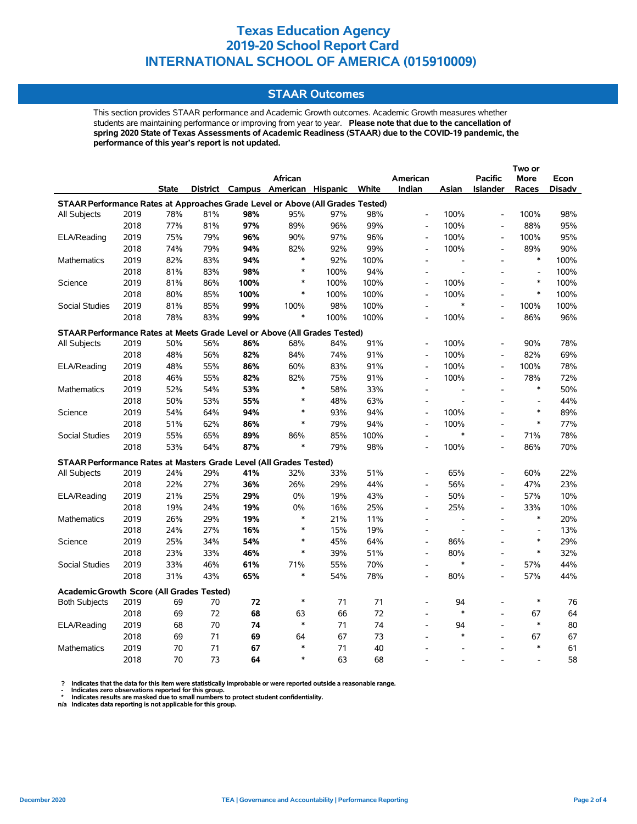### **STAAR Outcomes**

This section provides STAAR performance and Academic Growth outcomes. Academic Growth measures whether students are maintaining performance or improving from year to year. **Please note that due to the cancellation of spring 2020 State of Texas Assessments of Academic Readiness (STAAR) due to the COVID-19 pandemic, the performance of this year's report is not updated.**

|                                                                                |      |              |     |      | African                           |      |       | American                 |                          | <b>Pacific</b>               | More                     | Econ          |
|--------------------------------------------------------------------------------|------|--------------|-----|------|-----------------------------------|------|-------|--------------------------|--------------------------|------------------------------|--------------------------|---------------|
|                                                                                |      | <b>State</b> |     |      | District Campus American Hispanic |      | White | Indian                   | Asian                    | <b>Islander</b>              | Races                    | <b>Disadv</b> |
| STAAR Performance Rates at Approaches Grade Level or Above (All Grades Tested) |      |              |     |      |                                   |      |       |                          |                          |                              |                          |               |
| All Subjects                                                                   | 2019 | 78%          | 81% | 98%  | 95%                               | 97%  | 98%   | $\overline{\phantom{a}}$ | 100%                     | $\overline{a}$               | 100%                     | 98%           |
|                                                                                | 2018 | 77%          | 81% | 97%  | 89%                               | 96%  | 99%   | $\overline{\phantom{a}}$ | 100%                     | $\qquad \qquad \blacksquare$ | 88%                      | 95%           |
| ELA/Reading                                                                    | 2019 | 75%          | 79% | 96%  | 90%                               | 97%  | 96%   | $\overline{\phantom{a}}$ | 100%                     | $\overline{a}$               | 100%                     | 95%           |
|                                                                                | 2018 | 74%          | 79% | 94%  | 82%                               | 92%  | 99%   | $\overline{\phantom{a}}$ | 100%                     | $\overline{a}$               | 89%                      | 90%           |
| <b>Mathematics</b>                                                             | 2019 | 82%          | 83% | 94%  | $\ast$                            | 92%  | 100%  | $\blacksquare$           | $\overline{\phantom{a}}$ | $\overline{a}$               | $\ast$                   | 100%          |
|                                                                                | 2018 | 81%          | 83% | 98%  | $\ast$                            | 100% | 94%   | $\blacksquare$           |                          | $\overline{\phantom{a}}$     | $\overline{\phantom{a}}$ | 100%          |
| Science                                                                        | 2019 | 81%          | 86% | 100% | $\ast$                            | 100% | 100%  | $\overline{\phantom{a}}$ | 100%                     | L,                           | $\ast$                   | 100%          |
|                                                                                | 2018 | 80%          | 85% | 100% | $\ast$                            | 100% | 100%  | $\overline{a}$           | 100%                     | $\overline{a}$               | $\ast$                   | 100%          |
| <b>Social Studies</b>                                                          | 2019 | 81%          | 85% | 99%  | 100%                              | 98%  | 100%  | $\overline{\phantom{a}}$ | *                        | $\overline{a}$               | 100%                     | 100%          |
|                                                                                | 2018 | 78%          | 83% | 99%  | $\ast$                            | 100% | 100%  |                          | 100%                     |                              | 86%                      | 96%           |
| STAAR Performance Rates at Meets Grade Level or Above (All Grades Tested)      |      |              |     |      |                                   |      |       |                          |                          |                              |                          |               |
| All Subjects                                                                   | 2019 | 50%          | 56% | 86%  | 68%                               | 84%  | 91%   | $\overline{\phantom{a}}$ | 100%                     | L,                           | 90%                      | 78%           |
|                                                                                | 2018 | 48%          | 56% | 82%  | 84%                               | 74%  | 91%   | $\overline{a}$           | 100%                     | $\overline{a}$               | 82%                      | 69%           |
| ELA/Reading                                                                    | 2019 | 48%          | 55% | 86%  | 60%                               | 83%  | 91%   | $\overline{\phantom{a}}$ | 100%                     | $\frac{1}{2}$                | 100%                     | 78%           |
|                                                                                | 2018 | 46%          | 55% | 82%  | 82%                               | 75%  | 91%   | $\overline{a}$           | 100%                     | $\overline{a}$               | 78%                      | 72%           |
| Mathematics                                                                    | 2019 | 52%          | 54% | 53%  | $\ast$                            | 58%  | 33%   | $\overline{a}$           |                          |                              | $\ast$                   | 50%           |
|                                                                                | 2018 | 50%          | 53% | 55%  | $\ast$                            | 48%  | 63%   | $\overline{a}$           | $\overline{a}$           | $\overline{\phantom{a}}$     | $\overline{\phantom{a}}$ | 44%           |
| Science                                                                        | 2019 | 54%          | 64% | 94%  | $\ast$                            | 93%  | 94%   | $\blacksquare$           | 100%                     | $\overline{a}$               | $\ast$                   | 89%           |
|                                                                                | 2018 | 51%          | 62% | 86%  | $\ast$                            | 79%  | 94%   | $\overline{\phantom{a}}$ | 100%                     |                              | $\ast$                   | 77%           |
| <b>Social Studies</b>                                                          | 2019 | 55%          | 65% | 89%  | 86%                               | 85%  | 100%  | $\overline{a}$           | $\ast$                   | $\overline{a}$               | 71%                      | 78%           |
|                                                                                | 2018 | 53%          | 64% | 87%  | $\ast$                            | 79%  | 98%   | $\overline{a}$           | 100%                     | $\overline{a}$               | 86%                      | 70%           |
| STAAR Performance Rates at Masters Grade Level (All Grades Tested)             |      |              |     |      |                                   |      |       |                          |                          |                              |                          |               |
| All Subjects                                                                   | 2019 | 24%          | 29% | 41%  | 32%                               | 33%  | 51%   | $\overline{a}$           | 65%                      | $\overline{a}$               | 60%                      | 22%           |
|                                                                                | 2018 | 22%          | 27% | 36%  | 26%                               | 29%  | 44%   | $\overline{a}$           | 56%                      | $\overline{\phantom{a}}$     | 47%                      | 23%           |
| ELA/Reading                                                                    | 2019 | 21%          | 25% | 29%  | 0%                                | 19%  | 43%   | $\overline{\phantom{a}}$ | 50%                      | $\overline{a}$               | 57%                      | 10%           |
|                                                                                | 2018 | 19%          | 24% | 19%  | 0%                                | 16%  | 25%   | $\overline{\phantom{a}}$ | 25%                      | $\overline{a}$               | 33%                      | 10%           |
| Mathematics                                                                    | 2019 | 26%          | 29% | 19%  | $\ast$                            | 21%  | 11%   | $\overline{a}$           |                          | L,                           | $\ast$                   | 20%           |
|                                                                                | 2018 | 24%          | 27% | 16%  | $\ast$                            | 15%  | 19%   | $\overline{a}$           |                          |                              | $\overline{\phantom{a}}$ | 13%           |
| Science                                                                        | 2019 | 25%          | 34% | 54%  | $\ast$                            | 45%  | 64%   | $\overline{\phantom{a}}$ | 86%                      | $\overline{a}$               | $\ast$                   | 29%           |
|                                                                                | 2018 | 23%          | 33% | 46%  | $\ast$                            | 39%  | 51%   | $\overline{\phantom{a}}$ | 80%                      | $\overline{a}$               | $\ast$                   | 32%           |
| Social Studies                                                                 | 2019 | 33%          | 46% | 61%  | 71%                               | 55%  | 70%   | $\overline{a}$           | $\ast$                   | $\overline{a}$               | 57%                      | 44%           |
|                                                                                | 2018 | 31%          | 43% | 65%  | $\ast$                            | 54%  | 78%   | $\overline{a}$           | 80%                      | $\overline{a}$               | 57%                      | 44%           |
|                                                                                |      |              |     |      |                                   |      |       |                          |                          |                              |                          |               |
| <b>Academic Growth Score (All Grades Tested)</b>                               |      |              |     |      |                                   |      |       |                          |                          |                              |                          |               |
| <b>Both Subjects</b>                                                           | 2019 | 69           | 70  | 72   | $\ast$                            | 71   | 71    |                          | 94                       |                              | $\ast$                   | 76            |
|                                                                                | 2018 | 69           | 72  | 68   | 63                                | 66   | 72    |                          | $\ast$                   |                              | 67                       | 64            |
| ELA/Reading                                                                    | 2019 | 68           | 70  | 74   | $\ast$                            | 71   | 74    | $\overline{a}$           | 94                       |                              | $\ast$                   | 80            |
|                                                                                | 2018 | 69           | 71  | 69   | 64                                | 67   | 73    | $\overline{a}$           | $\ast$                   | $\overline{a}$               | 67                       | 67            |
| <b>Mathematics</b>                                                             | 2019 | 70           | 71  | 67   | $\ast$                            | 71   | 40    |                          |                          |                              | $\ast$                   | 61            |
|                                                                                | 2018 | 70           | 73  | 64   | $\ast$                            | 63   | 68    |                          |                          |                              |                          | 58            |

? Indicates that the data for this item were statistically improbable or were reported outside a reasonable range.<br>- Indicates zero observations reported for this group.<br>\* Indicates results are masked due to small numbers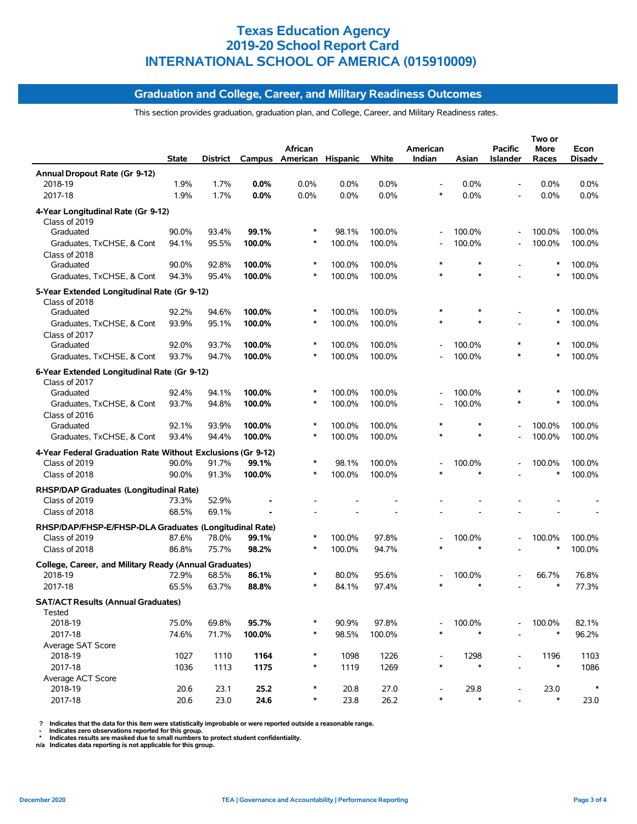## **Graduation and College, Career, and Military Readiness Outcomes**

This section provides graduation, graduation plan, and College, Career, and Military Readiness rates.

|                                                              | <b>State</b>   | District       |                  | African<br>Campus American Hispanic |                  | White  | American<br>Indian       | Asian  | <b>Pacific</b><br>Islander | Two or<br>More<br>Races | Econ<br>Disadv   |
|--------------------------------------------------------------|----------------|----------------|------------------|-------------------------------------|------------------|--------|--------------------------|--------|----------------------------|-------------------------|------------------|
| Annual Dropout Rate (Gr 9-12)                                |                |                |                  |                                     |                  |        |                          |        |                            |                         |                  |
| 2018-19                                                      | 1.9%           | 1.7%           | 0.0%             | 0.0%                                | 0.0%             | 0.0%   |                          | 0.0%   |                            | $0.0\%$                 | $0.0\%$          |
| 2017-18                                                      | 1.9%           | 1.7%           | 0.0%             | 0.0%                                | 0.0%             | 0.0%   | $\ast$                   | 0.0%   |                            | 0.0%                    | 0.0%             |
| 4-Year Longitudinal Rate (Gr 9-12)<br>Class of 2019          |                |                |                  |                                     |                  |        |                          |        |                            |                         |                  |
| Graduated                                                    | 90.0%          | 93.4%          | 99.1%            |                                     | 98.1%            | 100.0% | $\overline{\phantom{a}}$ | 100.0% |                            | 100.0%                  | 100.0%           |
| Graduates, TxCHSE, & Cont                                    | 94.1%          | 95.5%          | 100.0%           | $\ast$                              | 100.0%           | 100.0% |                          | 100.0% |                            | 100.0%                  | 100.0%           |
| Class of 2018<br>Graduated                                   | 90.0%          | 92.8%          | 100.0%           | $\ast$                              | 100.0%           | 100.0% | $\ast$                   | $\ast$ |                            | $\ast$                  | 100.0%           |
| Graduates, TxCHSE, & Cont                                    | 94.3%          | 95.4%          | 100.0%           |                                     | 100.0%           | 100.0% |                          | $\ast$ |                            | $\ast$                  | 100.0%           |
| 5-Year Extended Longitudinal Rate (Gr 9-12)                  |                |                |                  |                                     |                  |        |                          |        |                            |                         |                  |
| Class of 2018                                                |                |                |                  |                                     |                  | 100.0% |                          | $\ast$ |                            |                         |                  |
| Graduated<br>Graduates, TxCHSE, & Cont                       | 92.2%<br>93.9% | 94.6%<br>95.1% | 100.0%<br>100.0% |                                     | 100.0%<br>100.0% | 100.0% |                          | $\ast$ |                            | $\ast$                  | 100.0%<br>100.0% |
| Class of 2017                                                |                |                |                  |                                     |                  |        |                          |        |                            |                         |                  |
| Graduated                                                    | 92.0%          | 93.7%          | 100.0%           | $\ast$                              | 100.0%           | 100.0% |                          | 100.0% | $\ast$                     |                         | 100.0%           |
| Graduates, TxCHSE, & Cont                                    | 93.7%          | 94.7%          | 100.0%           |                                     | 100.0%           | 100.0% |                          | 100.0% |                            |                         | 100.0%           |
|                                                              |                |                |                  |                                     |                  |        |                          |        |                            |                         |                  |
| 6-Year Extended Longitudinal Rate (Gr 9-12)<br>Class of 2017 |                |                |                  |                                     |                  |        |                          |        |                            |                         |                  |
| Graduated                                                    | 92.4%          | 94.1%          | 100.0%           |                                     | 100.0%           | 100.0% |                          | 100.0% |                            |                         | 100.0%           |
| Graduates, TxCHSE, & Cont                                    | 93.7%          | 94.8%          | 100.0%           | $\ast$                              | 100.0%           | 100.0% |                          | 100.0% |                            | $\ast$                  | 100.0%           |
| Class of 2016                                                |                |                |                  |                                     |                  |        |                          |        |                            |                         |                  |
| Graduated                                                    | 92.1%          | 93.9%          | 100.0%           |                                     | 100.0%           | 100.0% |                          | $\ast$ |                            | 100.0%                  | 100.0%           |
| Graduates, TxCHSE, & Cont                                    | 93.4%          | 94.4%          | 100.0%           |                                     | 100.0%           | 100.0% |                          | $\ast$ |                            | 100.0%                  | 100.0%           |
| 4-Year Federal Graduation Rate Without Exclusions (Gr 9-12)  |                |                |                  |                                     |                  |        |                          |        |                            |                         |                  |
| Class of 2019                                                | 90.0%          | 91.7%          | 99.1%            |                                     | 98.1%            | 100.0% |                          | 100.0% |                            | 100.0%                  | 100.0%           |
| Class of 2018                                                | 90.0%          | 91.3%          | 100.0%           |                                     | 100.0%           | 100.0% |                          | $\ast$ |                            | $\ast$                  | 100.0%           |
| RHSP/DAP Graduates (Longitudinal Rate)                       |                |                |                  |                                     |                  |        |                          |        |                            |                         |                  |
| Class of 2019                                                | 73.3%          | 52.9%          |                  |                                     |                  |        |                          |        |                            |                         |                  |
| Class of 2018                                                | 68.5%          | 69.1%          |                  |                                     |                  |        |                          |        |                            |                         |                  |
| RHSP/DAP/FHSP-E/FHSP-DLA Graduates (Longitudinal Rate)       |                |                |                  |                                     |                  |        |                          |        |                            |                         |                  |
| Class of 2019                                                | 87.6%          | 78.0%          | 99.1%            |                                     | 100.0%           | 97.8%  |                          | 100.0% |                            | 100.0%                  | 100.0%           |
| Class of 2018                                                | 86.8%          | 75.7%          | 98.2%            |                                     | 100.0%           | 94.7%  |                          | $\ast$ |                            | $\ast$                  | 100.0%           |
| College, Career, and Military Ready (Annual Graduates)       |                |                |                  |                                     |                  |        |                          |        |                            |                         |                  |
| 2018-19                                                      | 72.9%          | 68.5%          | 86.1%            |                                     | 80.0%            | 95.6%  |                          | 100.0% |                            | 66.7%                   | 76.8%            |
| 2017-18                                                      | 65.5%          | 63.7%          | 88.8%            |                                     | 84.1%            | 97.4%  |                          |        |                            | $\ast$                  | 77.3%            |
| <b>SAT/ACT Results (Annual Graduates)</b><br>Tested          |                |                |                  |                                     |                  |        |                          |        |                            |                         |                  |
| 2018-19                                                      | 75.0%          | 69.8%          | 95.7%            |                                     | 90.9%            | 97.8%  |                          | 100.0% |                            | 100.0%                  | 82.1%            |
| 2017-18                                                      | 74.6%          | 71.7%          | 100.0%           | $\ast$                              | 98.5%            | 100.0% | $\ast$                   | $\ast$ |                            | $\ast$                  | 96.2%            |
| Average SAT Score                                            |                |                |                  |                                     |                  |        |                          |        |                            |                         |                  |
| 2018-19                                                      | 1027           | 1110           | 1164             | $\ast$                              | 1098             | 1226   |                          | 1298   |                            | 1196                    | 1103             |
| 2017-18                                                      | 1036           | 1113           | 1175             | $\ast$                              | 1119             | 1269   | $\ast$                   | $\ast$ |                            | $\ast$                  | 1086             |
| Average ACT Score                                            |                |                |                  |                                     |                  |        |                          |        |                            |                         |                  |
| 2018-19                                                      | 20.6           | 23.1           | 25.2             |                                     | 20.8             | 27.0   |                          | 29.8   |                            | 23.0                    | $\ast$           |
| 2017-18                                                      | 20.6           | 23.0           | 24.6             | $\ast$                              | 23.8             | 26.2   | $\ast$                   | $\ast$ |                            | $\ast$                  | 23.0             |

? Indicates that the data for this item were statistically improbable or were reported outside a reasonable range.<br>- Indicates zero observations reported for this group.<br>\* Indicates results are masked due to small numbers